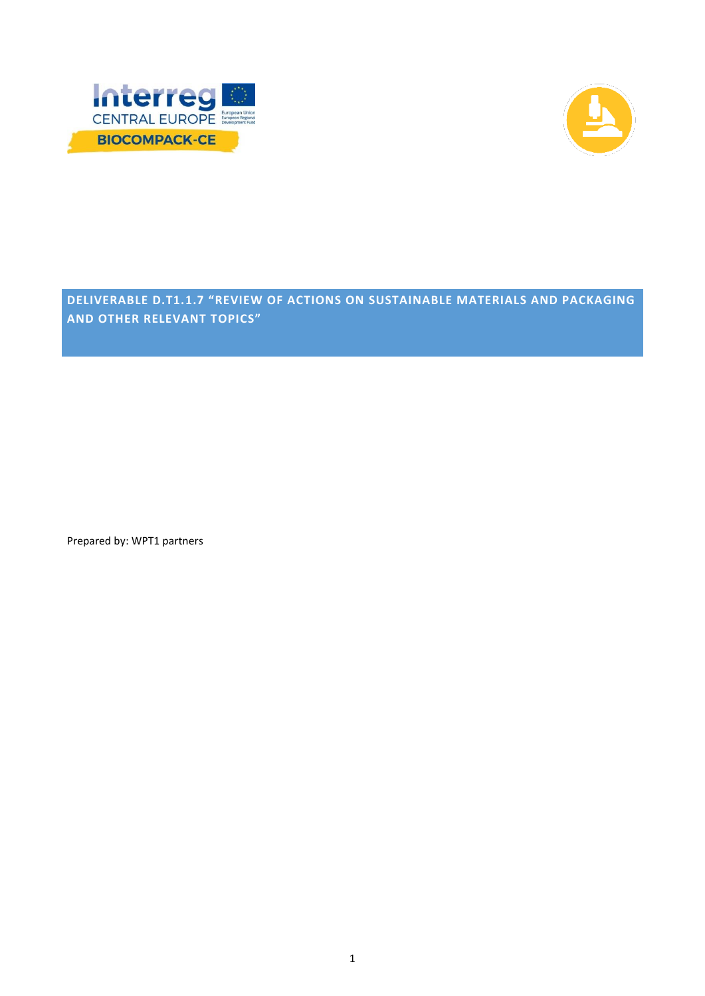



**DELIVERABLE D.T1.1.7 "REVIEW OF ACTIONS ON SUSTAINABLE MATERIALS AND PACKAGING AND OTHER RELEVANT TOPICS"**

Prepared by: WPT1 partners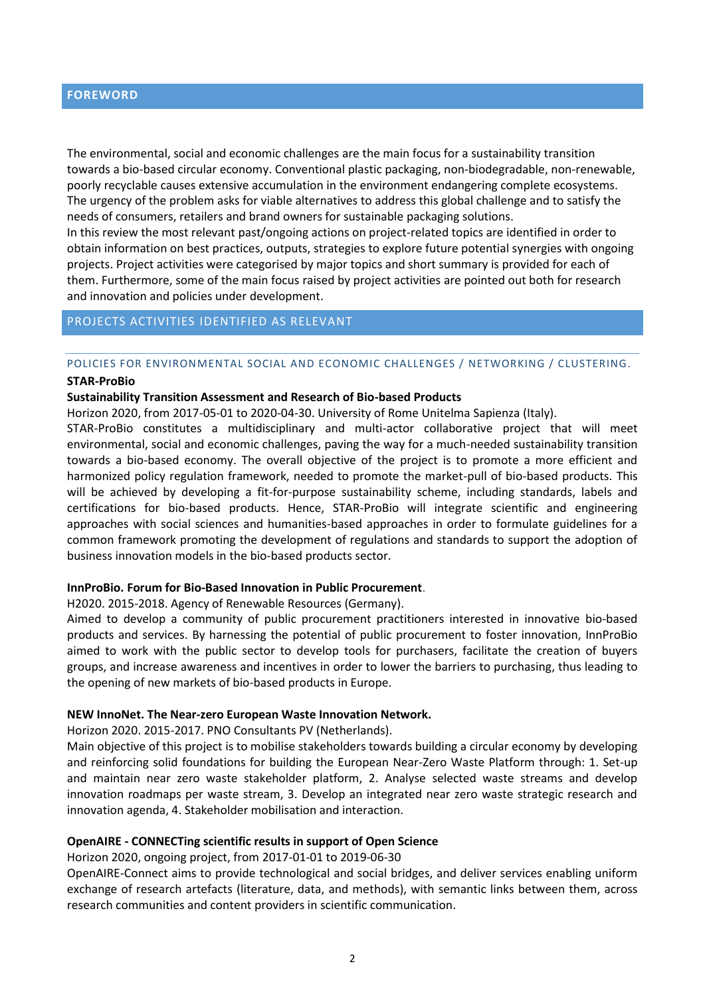#### **FOREWORD**

The environmental, social and economic challenges are the main focus for a sustainability transition towards a bio-based circular economy. Conventional plastic packaging, non-biodegradable, non-renewable, poorly recyclable causes extensive accumulation in the environment endangering complete ecosystems. The urgency of the problem asks for viable alternatives to address this global challenge and to satisfy the needs of consumers, retailers and brand owners for sustainable packaging solutions.

In this review the most relevant past/ongoing actions on project-related topics are identified in order to obtain information on best practices, outputs, strategies to explore future potential synergies with ongoing projects. Project activities were categorised by major topics and short summary is provided for each of them. Furthermore, some of the main focus raised by project activities are pointed out both for research and innovation and policies under development.

#### PROJECTS ACTIVITIES IDENTIFIED AS RELEVANT

#### POLICIES FOR ENVIRONMENTAL SOCIAL AND ECONOMIC CHALLENGES / NETWORKING / CLUSTERING.

#### **STAR-ProBio**

#### **Sustainability Transition Assessment and Research of Bio-based Products**

Horizon 2020, from 2017-05-01 to 2020-04-30. University of Rome Unitelma Sapienza (Italy).

STAR-ProBio constitutes a multidisciplinary and multi-actor collaborative project that will meet environmental, social and economic challenges, paving the way for a much-needed sustainability transition towards a bio-based economy. The overall objective of the project is to promote a more efficient and harmonized policy regulation framework, needed to promote the market-pull of bio-based products. This will be achieved by developing a fit-for-purpose sustainability scheme, including standards, labels and certifications for bio-based products. Hence, STAR-ProBio will integrate scientific and engineering approaches with social sciences and humanities-based approaches in order to formulate guidelines for a common framework promoting the development of regulations and standards to support the adoption of business innovation models in the bio-based products sector.

#### **InnProBio. Forum for Bio-Based Innovation in Public Procurement**.

H2020. 2015-2018. Agency of Renewable Resources (Germany).

Aimed to develop a community of public procurement practitioners interested in innovative bio-based products and services. By harnessing the potential of public procurement to foster innovation, InnProBio aimed to work with the public sector to develop tools for purchasers, facilitate the creation of buyers groups, and increase awareness and incentives in order to lower the barriers to purchasing, thus leading to the opening of new markets of bio-based products in Europe.

#### **NEW InnoNet. The Near-zero European Waste Innovation Network.**

Horizon 2020. 2015-2017. PNO Consultants PV (Netherlands).

Main objective of this project is to mobilise stakeholders towards building a circular economy by developing and reinforcing solid foundations for building the European Near-Zero Waste Platform through: 1. Set-up and maintain near zero waste stakeholder platform, 2. Analyse selected waste streams and develop innovation roadmaps per waste stream, 3. Develop an integrated near zero waste strategic research and innovation agenda, 4. Stakeholder mobilisation and interaction.

#### **OpenAIRE - CONNECTing scientific results in support of Open Science**

Horizon 2020, ongoing project, from 2017-01-01 to 2019-06-30

OpenAIRE-Connect aims to provide technological and social bridges, and deliver services enabling uniform exchange of research artefacts (literature, data, and methods), with semantic links between them, across research communities and content providers in scientific communication.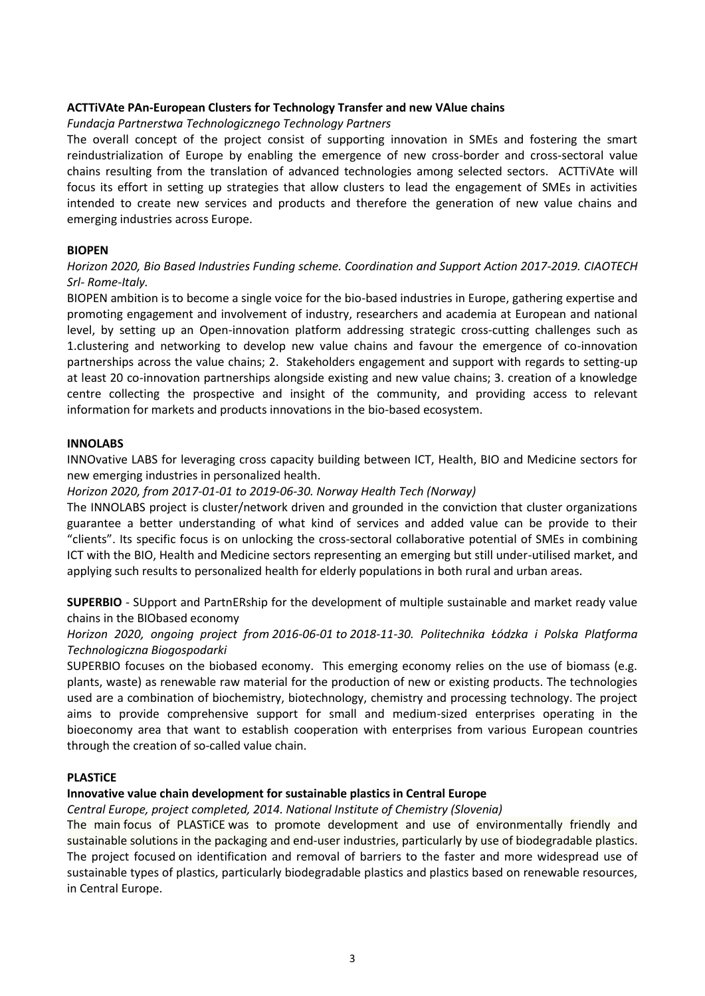### **ACTTiVAte PAn-European Clusters for Technology Transfer and new VAlue chains**

### *Fundacja Partnerstwa Technologicznego Technology Partners*

The overall concept of the project consist of supporting innovation in SMEs and fostering the smart reindustrialization of Europe by enabling the emergence of new cross-border and cross-sectoral value chains resulting from the translation of advanced technologies among selected sectors. ACTTiVAte will focus its effort in setting up strategies that allow clusters to lead the engagement of SMEs in activities intended to create new services and products and therefore the generation of new value chains and emerging industries across Europe.

#### **BIOPEN**

# *Horizon 2020, Bio Based Industries Funding scheme. Coordination and Support Action 2017-2019. CIAOTECH Srl- Rome-Italy.*

BIOPEN ambition is to become a single voice for the bio-based industries in Europe, gathering expertise and promoting engagement and involvement of industry, researchers and academia at European and national level, by setting up an Open-innovation platform addressing strategic cross-cutting challenges such as 1.clustering and networking to develop new value chains and favour the emergence of co-innovation partnerships across the value chains; 2. Stakeholders engagement and support with regards to setting-up at least 20 co-innovation partnerships alongside existing and new value chains; 3. creation of a knowledge centre collecting the prospective and insight of the community, and providing access to relevant information for markets and products innovations in the bio-based ecosystem.

#### **INNOLABS**

INNOvative LABS for leveraging cross capacity building between ICT, Health, BIO and Medicine sectors for new emerging industries in personalized health.

### *Horizon 2020, from 2017-01-01 to 2019-06-30. Norway Health Tech (Norway)*

The INNOLABS project is cluster/network driven and grounded in the conviction that cluster organizations guarantee a better understanding of what kind of services and added value can be provide to their "clients". Its specific focus is on unlocking the cross-sectoral collaborative potential of SMEs in combining ICT with the BIO, Health and Medicine sectors representing an emerging but still under-utilised market, and applying such results to personalized health for elderly populations in both rural and urban areas.

**SUPERBIO** - SUpport and PartnERship for the development of multiple sustainable and market ready value chains in the BIObased economy

# *Horizon 2020, ongoing project from 2016-06-01 to 2018-11-30. Politechnika Łódzka i Polska Platforma Technologiczna Biogospodarki*

SUPERBIO focuses on the biobased economy. This emerging economy relies on the use of biomass (e.g. plants, waste) as renewable raw material for the production of new or existing products. The technologies used are a combination of biochemistry, biotechnology, chemistry and processing technology. The project aims to provide comprehensive support for small and medium-sized enterprises operating in the bioeconomy area that want to establish cooperation with enterprises from various European countries through the creation of so-called value chain.

#### **PLASTiCE**

# **Innovative value chain development for sustainable plastics in Central Europe**

#### *Central Europe, project completed, 2014. National Institute of Chemistry (Slovenia)*

The main focus of PLASTiCE was to promote development and use of environmentally friendly and sustainable solutions in the packaging and end-user industries, particularly by use of biodegradable plastics. The project focused on identification and removal of barriers to the faster and more widespread use of sustainable types of plastics, particularly biodegradable plastics and plastics based on renewable resources, in Central Europe.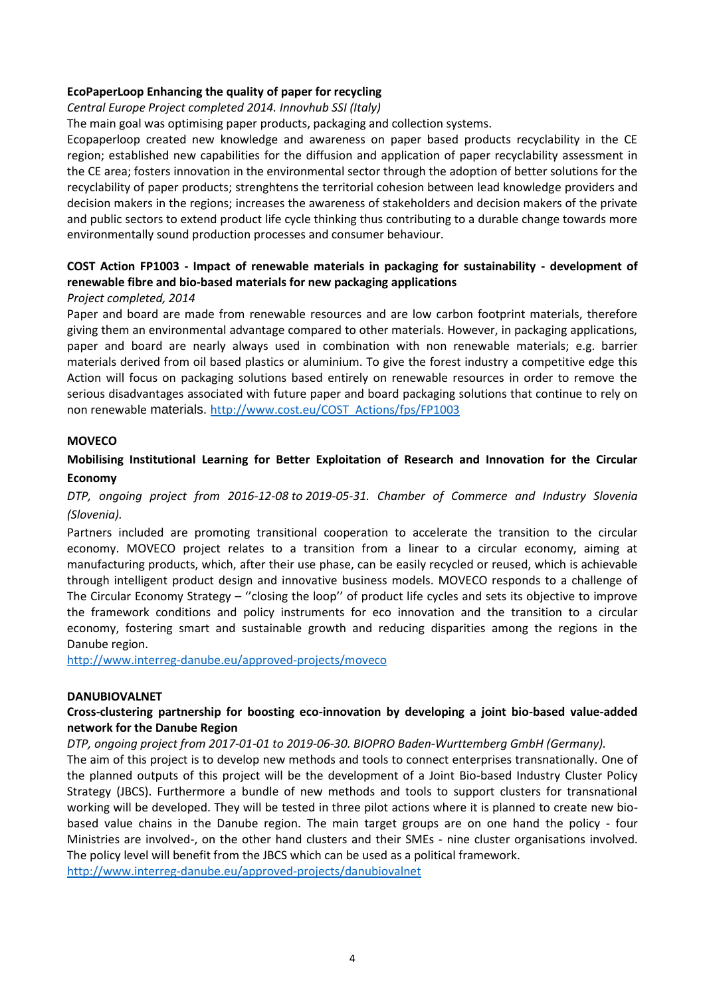### **EcoPaperLoop Enhancing the quality of paper for recycling**

#### *Central Europe Project completed 2014. Innovhub SSI (Italy)*

The main goal was optimising paper products, packaging and collection systems.

Ecopaperloop created new knowledge and awareness on paper based products recyclability in the CE region; established new capabilities for the diffusion and application of paper recyclability assessment in the CE area; fosters innovation in the environmental sector through the adoption of better solutions for the recyclability of paper products; strenghtens the territorial cohesion between lead knowledge providers and decision makers in the regions; increases the awareness of stakeholders and decision makers of the private and public sectors to extend product life cycle thinking thus contributing to a durable change towards more environmentally sound production processes and consumer behaviour.

# **COST Action FP1003 - Impact of renewable materials in packaging for sustainability - development of renewable fibre and bio-based materials for new packaging applications**

### *Project completed, 2014*

Paper and board are made from renewable resources and are low carbon footprint materials, therefore giving them an environmental advantage compared to other materials. However, in packaging applications, paper and board are nearly always used in combination with non renewable materials; e.g. barrier materials derived from oil based plastics or aluminium. To give the forest industry a competitive edge this Action will focus on packaging solutions based entirely on renewable resources in order to remove the serious disadvantages associated with future paper and board packaging solutions that continue to rely on non renewable materials. [http://www.cost.eu/COST\\_Actions/fps/FP1003](http://www.cost.eu/COST_Actions/fps/FP1003)

#### **MOVECO**

# **Mobilising Institutional Learning for Better Exploitation of Research and Innovation for the Circular Economy**

# *DTP, ongoing project from 2016-12-08 to 2019-05-31. Chamber of Commerce and Industry Slovenia (Slovenia).*

Partners included are promoting transitional cooperation to accelerate the transition to the circular economy. MOVECO project relates to a transition from a linear to a circular economy, aiming at manufacturing products, which, after their use phase, can be easily recycled or reused, which is achievable through intelligent product design and innovative business models. MOVECO responds to a challenge of The Circular Economy Strategy – ''closing the loop'' of product life cycles and sets its objective to improve the framework conditions and policy instruments for eco innovation and the transition to a circular economy, fostering smart and sustainable growth and reducing disparities among the regions in the Danube region.

<http://www.interreg-danube.eu/approved-projects/moveco>

#### **DANUBIOVALNET**

### **Cross-clustering partnership for boosting eco-innovation by developing a joint bio-based value-added network for the Danube Region**

#### *DTP, ongoing project from 2017-01-01 to 2019-06-30. BIOPRO Baden-Wurttemberg GmbH (Germany).*

The aim of this project is to develop new methods and tools to connect enterprises transnationally. One of the planned outputs of this project will be the development of a Joint Bio-based Industry Cluster Policy Strategy (JBCS). Furthermore a bundle of new methods and tools to support clusters for transnational working will be developed. They will be tested in three pilot actions where it is planned to create new biobased value chains in the Danube region. The main target groups are on one hand the policy - four Ministries are involved-, on the other hand clusters and their SMEs - nine cluster organisations involved. The policy level will benefit from the JBCS which can be used as a political framework.

<http://www.interreg-danube.eu/approved-projects/danubiovalnet>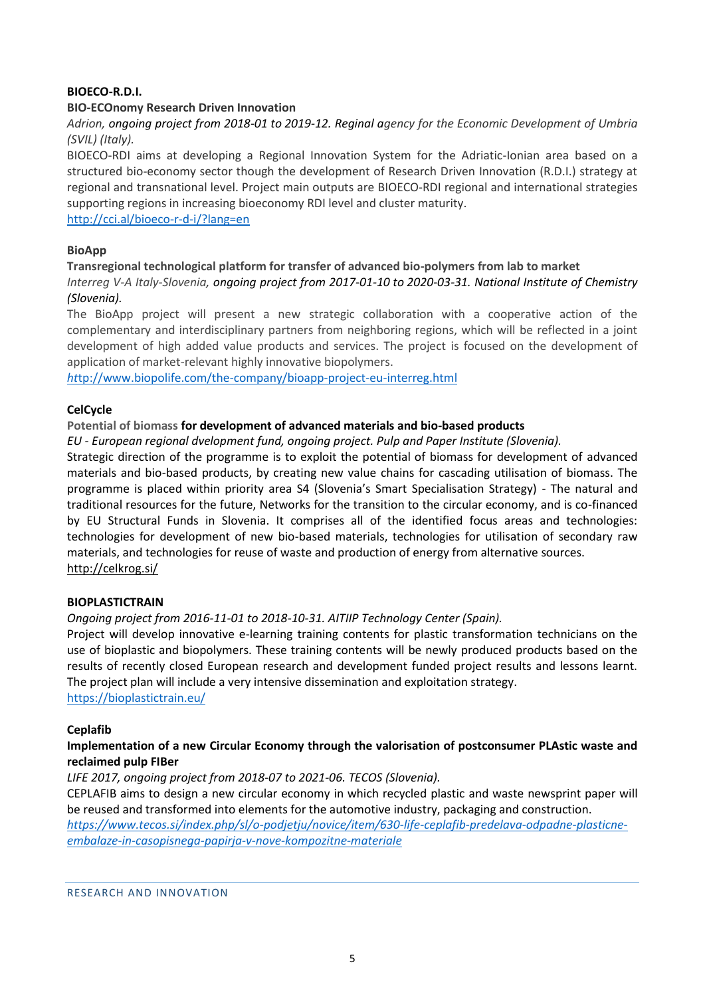# **BIOECO-R.D.I.**

### **BIO-ECOnomy Research Driven Innovation**

*Adrion, ongoing project from 2018-01 to 2019-12. Reginal agency for the Economic Development of Umbria (SVIL) (Italy).*

BIOECO-RDI aims at developing a Regional Innovation System for the Adriatic-Ionian area based on a structured bio-economy sector though the development of Research Driven Innovation (R.D.I.) strategy at regional and transnational level. Project main outputs are BIOECO-RDI regional and international strategies supporting regions in increasing bioeconomy RDI level and cluster maturity.

<http://cci.al/bioeco-r-d-i/?lang=en>

### **BioApp**

### **Transregional technological platform for transfer of advanced bio-polymers from lab to market** *Interreg V-A Italy-Slovenia, ongoing project from 2017-01-10 to 2020-03-31. National Institute of Chemistry (Slovenia).*

The BioApp project will present a new strategic collaboration with a cooperative action of the complementary and interdisciplinary partners from neighboring regions, which will be reflected in a joint development of high added value products and services. The project is focused on the development of application of market-relevant highly innovative biopolymers.

*ht*[tp://www.biopolife.com/the-company/bioapp-project-eu-interreg.html](http://www.biopolife.com/the-company/bioapp-project-eu-interreg.html)

### **CelCycle**

### **Potential of biomass for development of advanced materials and bio-based products**

*EU - European regional dvelopment fund, ongoing project. Pulp and Paper Institute (Slovenia).*

Strategic direction of the programme is to exploit the potential of biomass for development of advanced materials and bio-based products, by creating new value chains for cascading utilisation of biomass. The programme is placed within priority area S4 (Slovenia's Smart Specialisation Strategy) - The natural and traditional resources for the future, Networks for the transition to the circular economy, and is co-financed by EU Structural Funds in Slovenia. It comprises all of the identified focus areas and technologies: technologies for development of new bio-based materials, technologies for utilisation of secondary raw materials, and technologies for reuse of waste and production of energy from alternative sources. <http://celkrog.si/>

#### **BIOPLASTICTRAIN**

# *Ongoing project from 2016-11-01 to 2018-10-31. AITIIP Technology Center (Spain).*

Project will develop innovative e-learning training contents for plastic transformation technicians on the use of bioplastic and biopolymers. These training contents will be newly produced products based on the results of recently closed European research and development funded project results and lessons learnt. The project plan will include a very intensive dissemination and exploitation strategy. <https://bioplastictrain.eu/>

# **Ceplafib**

# **Implementation of a new Circular Economy through the valorisation of postconsumer PLAstic waste and reclaimed pulp FIBer**

*LIFE 2017, ongoing project from 2018-07 to 2021-06. TECOS (Slovenia).*

CEPLAFIB aims to design a new circular economy in which recycled plastic and waste newsprint paper will be reused and transformed into elements for the automotive industry, packaging and construction.

*[https://www.tecos.si/index.php/sl/o-podjetju/novice/item/630-life-ceplafib-predelava-odpadne-plasticne](https://www.tecos.si/index.php/sl/o-podjetju/novice/item/630-life-ceplafib-predelava-odpadne-plasticne-embalaze-in-casopisnega-papirja-v-nove-kompozitne-materiale)[embalaze-in-casopisnega-papirja-v-nove-kompozitne-materiale](https://www.tecos.si/index.php/sl/o-podjetju/novice/item/630-life-ceplafib-predelava-odpadne-plasticne-embalaze-in-casopisnega-papirja-v-nove-kompozitne-materiale)*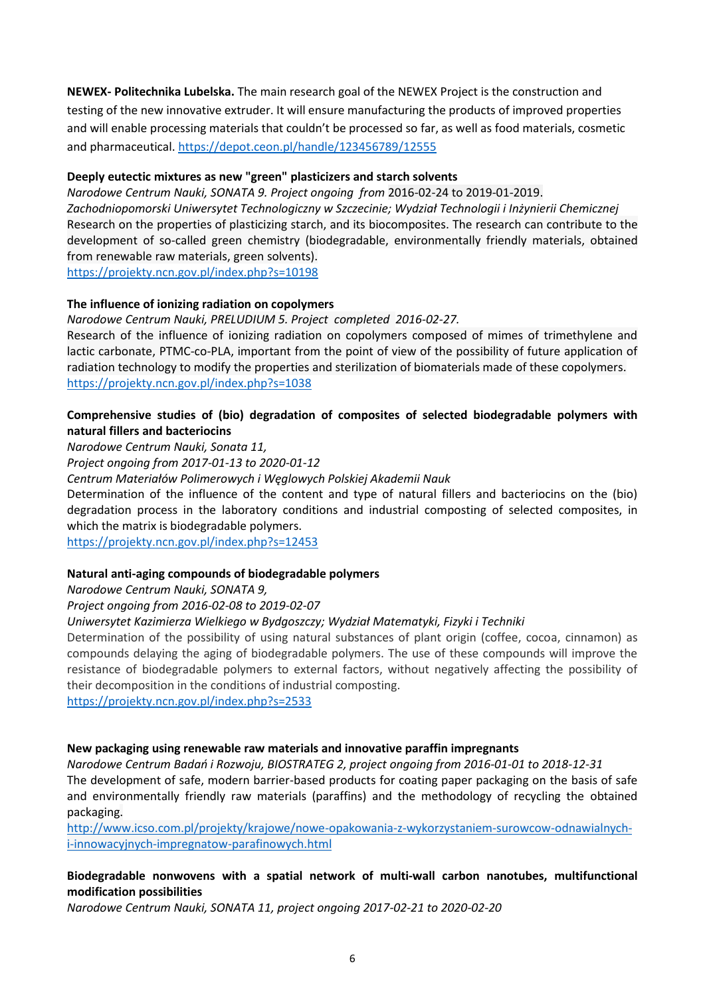**NEWEX- Politechnika Lubelska.** The main research goal of the NEWEX Project is the construction and testing of the new innovative extruder. It will ensure manufacturing the products of improved properties and will enable processing materials that couldn't be processed so far, as well as food materials, cosmetic and pharmaceutical[. https://depot.ceon.pl/handle/123456789/12555](https://depot.ceon.pl/handle/123456789/12555)

### **Deeply eutectic mixtures as new "green" plasticizers and starch solvents**

*Narodowe Centrum Nauki, SONATA 9. Project ongoing from* 2016-02-24 to 2019-01-2019. *Zachodniopomorski Uniwersytet Technologiczny w Szczecinie; Wydział Technologii i Inżynierii Chemicznej* Research on the properties of plasticizing starch, and its biocomposites. The research can contribute to the development of so-called green chemistry (biodegradable, environmentally friendly materials, obtained from renewable raw materials, green solvents). <https://projekty.ncn.gov.pl/index.php?s=10198>

### **The influence of ionizing radiation on copolymers**

*Narodowe Centrum Nauki, PRELUDIUM 5. Project completed 2016-02-27.* Research of the influence of ionizing radiation on copolymers composed of mimes of trimethylene and lactic carbonate, PTMC-co-PLA, important from the point of view of the possibility of future application of radiation technology to modify the properties and sterilization of biomaterials made of these copolymers. <https://projekty.ncn.gov.pl/index.php?s=1038>

### **Comprehensive studies of (bio) degradation of composites of selected biodegradable polymers with natural fillers and bacteriocins**

*Narodowe Centrum Nauki, Sonata 11,*

*Project ongoing from 2017-01-13 to 2020-01-12*

*Centrum Materiałów Polimerowych i Węglowych Polskiej Akademii Nauk*

Determination of the influence of the content and type of natural fillers and bacteriocins on the (bio) degradation process in the laboratory conditions and industrial composting of selected composites, in which the matrix is biodegradable polymers.

<https://projekty.ncn.gov.pl/index.php?s=12453>

# **Natural anti-aging compounds of biodegradable polymers**

*Narodowe Centrum Nauki, SONATA 9,*

*Project ongoing from 2016-02-08 to 2019-02-07*

# *Uniwersytet Kazimierza Wielkiego w Bydgoszczy; Wydział Matematyki, Fizyki i Techniki*

Determination of the possibility of using natural substances of plant origin (coffee, cocoa, cinnamon) as compounds delaying the aging of biodegradable polymers. The use of these compounds will improve the resistance of biodegradable polymers to external factors, without negatively affecting the possibility of their decomposition in the conditions of industrial composting.

<https://projekty.ncn.gov.pl/index.php?s=2533>

#### **New packaging using renewable raw materials and innovative paraffin impregnants**

*Narodowe Centrum Badań i Rozwoju, BIOSTRATEG 2, project ongoing from 2016-01-01 to 2018-12-31*

The development of safe, modern barrier-based products for coating paper packaging on the basis of safe and environmentally friendly raw materials (paraffins) and the methodology of recycling the obtained packaging.

[http://www.icso.com.pl/projekty/krajowe/nowe-opakowania-z-wykorzystaniem-surowcow-odnawialnych](http://www.icso.com.pl/projekty/krajowe/nowe-opakowania-z-wykorzystaniem-surowcow-odnawialnych-i-innowacyjnych-impregnatow-parafinowych.html)[i-innowacyjnych-impregnatow-parafinowych.html](http://www.icso.com.pl/projekty/krajowe/nowe-opakowania-z-wykorzystaniem-surowcow-odnawialnych-i-innowacyjnych-impregnatow-parafinowych.html)

# **Biodegradable nonwovens with a spatial network of multi-wall carbon nanotubes, multifunctional modification possibilities**

*Narodowe Centrum Nauki, SONATA 11, project ongoing 2017-02-21 to 2020-02-20*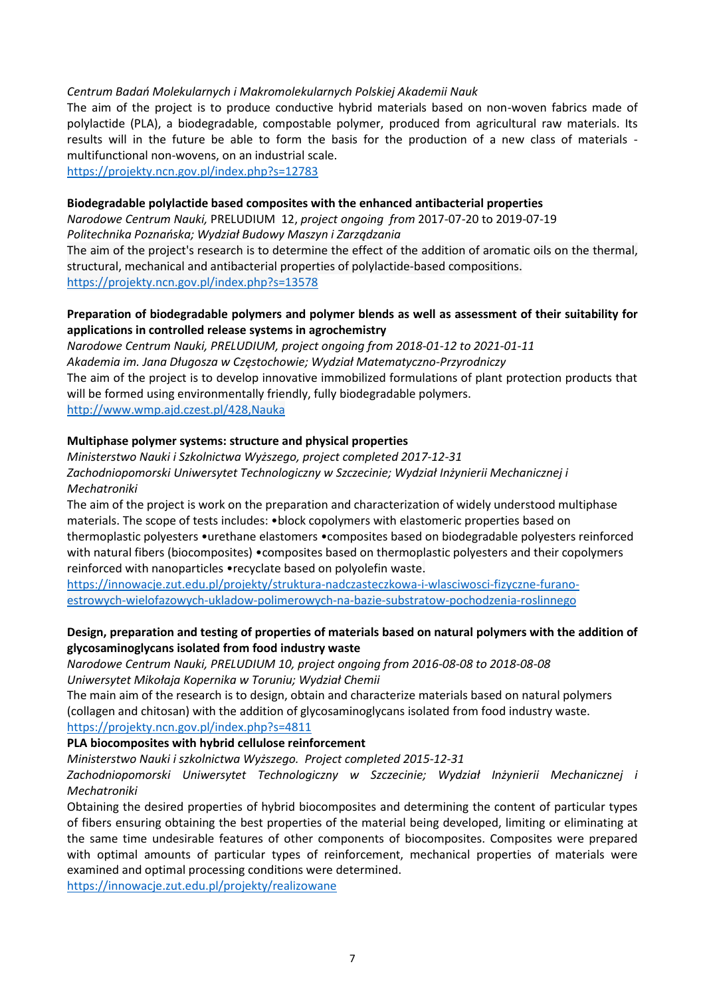#### *Centrum Badań Molekularnych i Makromolekularnych Polskiej Akademii Nauk*

The aim of the project is to produce conductive hybrid materials based on non-woven fabrics made of polylactide (PLA), a biodegradable, compostable polymer, produced from agricultural raw materials. Its results will in the future be able to form the basis for the production of a new class of materials multifunctional non-wovens, on an industrial scale.

<https://projekty.ncn.gov.pl/index.php?s=12783>

#### **Biodegradable polylactide based composites with the enhanced antibacterial properties**

*Narodowe Centrum Nauki,* PRELUDIUM 12, *project ongoing from* 2017-07-20 to 2019-07-19 *Politechnika Poznańska; Wydział Budowy Maszyn i Zarządzania*

The aim of the project's research is to determine the effect of the addition of aromatic oils on the thermal, structural, mechanical and antibacterial properties of polylactide-based compositions. <https://projekty.ncn.gov.pl/index.php?s=13578>

### **Preparation of biodegradable polymers and polymer blends as well as assessment of their suitability for applications in controlled release systems in agrochemistry**

*Narodowe Centrum Nauki, PRELUDIUM, project ongoing from 2018-01-12 to 2021-01-11 Akademia im. Jana Długosza w Częstochowie; Wydział Matematyczno-Przyrodniczy* The aim of the project is to develop innovative immobilized formulations of plant protection products that will be formed using environmentally friendly, fully biodegradable polymers. <http://www.wmp.ajd.czest.pl/428,Nauka>

#### **Multiphase polymer systems: structure and physical properties**

*Ministerstwo Nauki i Szkolnictwa Wyższego, project completed 2017-12-31 Zachodniopomorski Uniwersytet Technologiczny w Szczecinie; Wydział Inżynierii Mechanicznej i Mechatroniki*

The aim of the project is work on the preparation and characterization of widely understood multiphase materials. The scope of tests includes: •block copolymers with elastomeric properties based on thermoplastic polyesters •urethane elastomers •composites based on biodegradable polyesters reinforced with natural fibers (biocomposites) •composites based on thermoplastic polyesters and their copolymers reinforced with nanoparticles •recyclate based on polyolefin waste.

[https://innowacje.zut.edu.pl/projekty/struktura-nadczasteczkowa-i-wlasciwosci-fizyczne-furano](https://innowacje.zut.edu.pl/projekty/struktura-nadczasteczkowa-i-wlasciwosci-fizyczne-furano-estrowych-wielofazowych-ukladow-polimerowych-na-bazie-substratow-pochodzenia-roslinnego)[estrowych-wielofazowych-ukladow-polimerowych-na-bazie-substratow-pochodzenia-roslinnego](https://innowacje.zut.edu.pl/projekty/struktura-nadczasteczkowa-i-wlasciwosci-fizyczne-furano-estrowych-wielofazowych-ukladow-polimerowych-na-bazie-substratow-pochodzenia-roslinnego)

### **Design, preparation and testing of properties of materials based on natural polymers with the addition of glycosaminoglycans isolated from food industry waste**

*Narodowe Centrum Nauki, PRELUDIUM 10, project ongoing from 2016-08-08 to 2018-08-08 Uniwersytet Mikołaja Kopernika w Toruniu; Wydział Chemii*

The main aim of the research is to design, obtain and characterize materials based on natural polymers (collagen and chitosan) with the addition of glycosaminoglycans isolated from food industry waste. <https://projekty.ncn.gov.pl/index.php?s=4811>

#### **PLA biocomposites with hybrid cellulose reinforcement**

*Ministerstwo Nauki i szkolnictwa Wyższego. Project completed 2015-12-31*

*Zachodniopomorski Uniwersytet Technologiczny w Szczecinie; Wydział Inżynierii Mechanicznej i Mechatroniki*

Obtaining the desired properties of hybrid biocomposites and determining the content of particular types of fibers ensuring obtaining the best properties of the material being developed, limiting or eliminating at the same time undesirable features of other components of biocomposites. Composites were prepared with optimal amounts of particular types of reinforcement, mechanical properties of materials were examined and optimal processing conditions were determined.

<https://innowacje.zut.edu.pl/projekty/realizowane>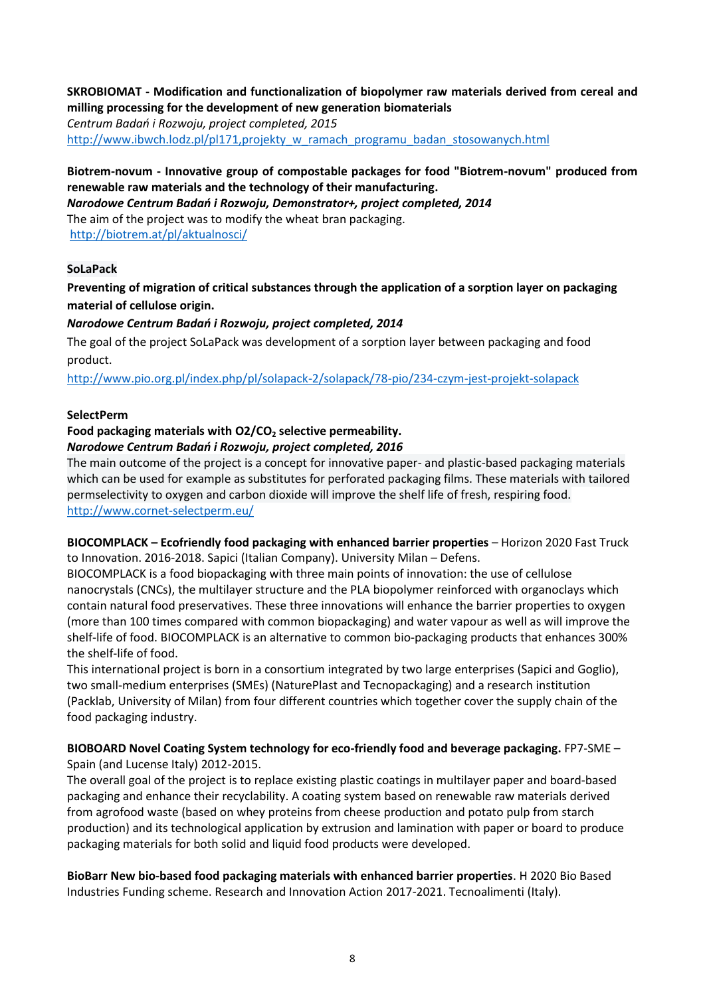# **SKROBIOMAT - Modification and functionalization of biopolymer raw materials derived from cereal and milling processing for the development of new generation biomaterials**

*Centrum Badań i Rozwoju, project completed, 2015* [http://www.ibwch.lodz.pl/pl171,projekty\\_w\\_ramach\\_programu\\_badan\\_stosowanych.html](http://www.ibwch.lodz.pl/pl171,projekty_w_ramach_programu_badan_stosowanych.html)

# **Biotrem-novum - Innovative group of compostable packages for food "Biotrem-novum" produced from renewable raw materials and the technology of their manufacturing.**

*Narodowe Centrum Badań i Rozwoju, Demonstrator+, project completed, 2014*

The aim of the project was to modify the wheat bran packaging.

<http://biotrem.at/pl/aktualnosci/>

# **SoLaPack**

**Preventing of migration of critical substances through the application of a sorption layer on packaging material of cellulose origin.**

# *Narodowe Centrum Badań i Rozwoju, project completed, 2014*

The goal of the project SoLaPack was development of a sorption layer between packaging and food product.

<http://www.pio.org.pl/index.php/pl/solapack-2/solapack/78-pio/234-czym-jest-projekt-solapack>

# **SelectPerm**

### **Food packaging materials with O2/CO<sup>2</sup> selective permeability.** *Narodowe Centrum Badań i Rozwoju, project completed, 2016*

The main outcome of the project is a concept for innovative paper- and plastic-based packaging materials which can be used for example as substitutes for perforated packaging films. These materials with tailored permselectivity to oxygen and carbon dioxide will improve the shelf life of fresh, respiring food. <http://www.cornet-selectperm.eu/>

**BIOCOMPLACK – Ecofriendly food packaging with enhanced barrier properties** – Horizon 2020 Fast Truck to Innovation. 2016-2018. Sapici (Italian Company). University Milan – Defens.

BIOCOMPLACK is a food biopackaging with three main points of innovation: the use of cellulose nanocrystals (CNCs), the multilayer structure and the PLA biopolymer reinforced with organoclays which contain natural food preservatives. These three innovations will enhance the barrier properties to oxygen (more than 100 times compared with common biopackaging) and water vapour as well as will improve the shelf-life of food. BIOCOMPLACK is an alternative to common bio-packaging products that enhances 300% the shelf-life of food.

This international project is born in a consortium integrated by two large enterprises (Sapici and Goglio), two small-medium enterprises (SMEs) (NaturePlast and Tecnopackaging) and a research institution (Packlab, University of Milan) from four different countries which together cover the supply chain of the food packaging industry.

# **BIOBOARD Novel Coating System technology for eco-friendly food and beverage packaging.** FP7-SME – Spain (and Lucense Italy) 2012-2015.

The overall goal of the project is to replace existing plastic coatings in multilayer paper and board-based packaging and enhance their recyclability. A coating system based on renewable raw materials derived from agrofood waste (based on whey proteins from cheese production and potato pulp from starch production) and its technological application by extrusion and lamination with paper or board to produce packaging materials for both solid and liquid food products were developed.

**BioBarr New bio-based food packaging materials with enhanced barrier properties**. H 2020 Bio Based Industries Funding scheme. Research and Innovation Action 2017-2021. Tecnoalimenti (Italy).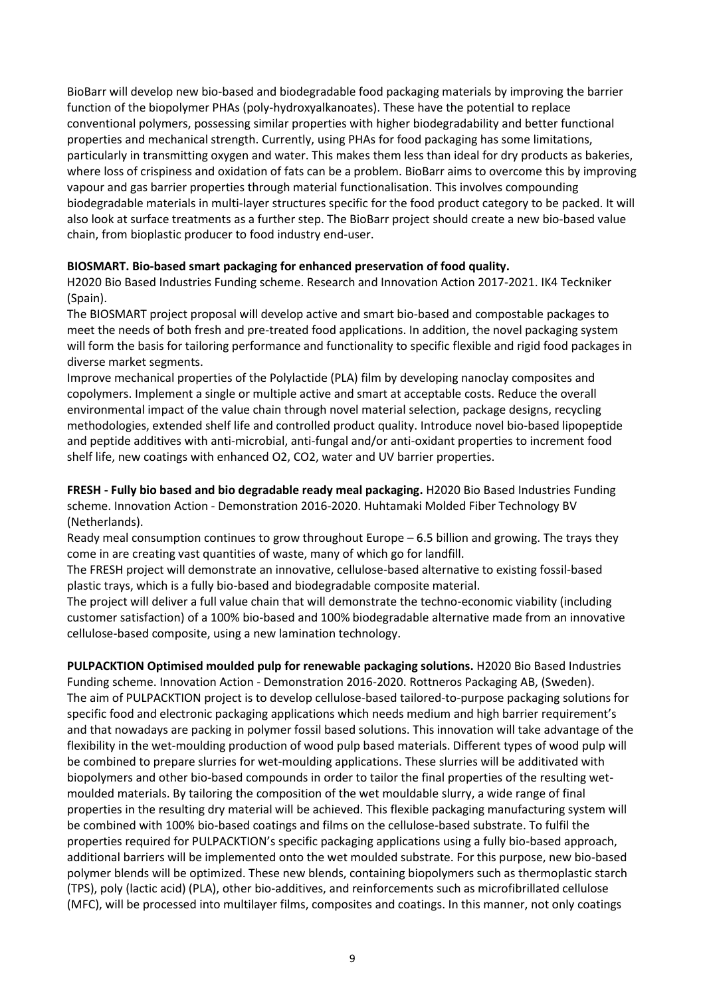BioBarr will develop new bio-based and biodegradable food packaging materials by improving the barrier function of the biopolymer PHAs (poly-hydroxyalkanoates). These have the potential to replace conventional polymers, possessing similar properties with higher biodegradability and better functional properties and mechanical strength. Currently, using PHAs for food packaging has some limitations, particularly in transmitting oxygen and water. This makes them less than ideal for dry products as bakeries, where loss of crispiness and oxidation of fats can be a problem. BioBarr aims to overcome this by improving vapour and gas barrier properties through material functionalisation. This involves compounding biodegradable materials in multi-layer structures specific for the food product category to be packed. It will also look at surface treatments as a further step. The BioBarr project should create a new bio-based value chain, from bioplastic producer to food industry end-user.

### **BIOSMART. Bio-based smart packaging for enhanced preservation of food quality.**

H2020 Bio Based Industries Funding scheme. Research and Innovation Action 2017-2021. IK4 Teckniker (Spain).

The BIOSMART project proposal will develop active and smart bio-based and compostable packages to meet the needs of both fresh and pre-treated food applications. In addition, the novel packaging system will form the basis for tailoring performance and functionality to specific flexible and rigid food packages in diverse market segments.

Improve mechanical properties of the Polylactide (PLA) film by developing nanoclay composites and copolymers. Implement a single or multiple active and smart at acceptable costs. Reduce the overall environmental impact of the value chain through novel material selection, package designs, recycling methodologies, extended shelf life and controlled product quality. Introduce novel bio-based lipopeptide and peptide additives with anti-microbial, anti-fungal and/or anti-oxidant properties to increment food shelf life, new coatings with enhanced O2, CO2, water and UV barrier properties.

**FRESH - Fully bio based and bio degradable ready meal packaging.** H2020 Bio Based Industries Funding scheme. Innovation Action - Demonstration 2016-2020. Huhtamaki Molded Fiber Technology BV (Netherlands).

Ready meal consumption continues to grow throughout Europe – 6.5 billion and growing. The trays they come in are creating vast quantities of waste, many of which go for landfill.

The FRESH project will demonstrate an innovative, cellulose-based alternative to existing fossil-based plastic trays, which is a fully bio-based and biodegradable composite material.

The project will deliver a full value chain that will demonstrate the techno-economic viability (including customer satisfaction) of a 100% bio-based and 100% biodegradable alternative made from an innovative cellulose-based composite, using a new lamination technology.

**PULPACKTION Optimised moulded pulp for renewable packaging solutions.** H2020 Bio Based Industries Funding scheme. Innovation Action - Demonstration 2016-2020. Rottneros Packaging AB, (Sweden). The aim of PULPACKTION project is to develop cellulose-based tailored-to-purpose packaging solutions for specific food and electronic packaging applications which needs medium and high barrier requirement's and that nowadays are packing in polymer fossil based solutions. This innovation will take advantage of the flexibility in the wet-moulding production of wood pulp based materials. Different types of wood pulp will be combined to prepare slurries for wet-moulding applications. These slurries will be additivated with biopolymers and other bio-based compounds in order to tailor the final properties of the resulting wetmoulded materials. By tailoring the composition of the wet mouldable slurry, a wide range of final properties in the resulting dry material will be achieved. This flexible packaging manufacturing system will be combined with 100% bio-based coatings and films on the cellulose-based substrate. To fulfil the properties required for PULPACKTION's specific packaging applications using a fully bio-based approach, additional barriers will be implemented onto the wet moulded substrate. For this purpose, new bio-based polymer blends will be optimized. These new blends, containing biopolymers such as thermoplastic starch (TPS), poly (lactic acid) (PLA), other bio-additives, and reinforcements such as microfibrillated cellulose (MFC), will be processed into multilayer films, composites and coatings. In this manner, not only coatings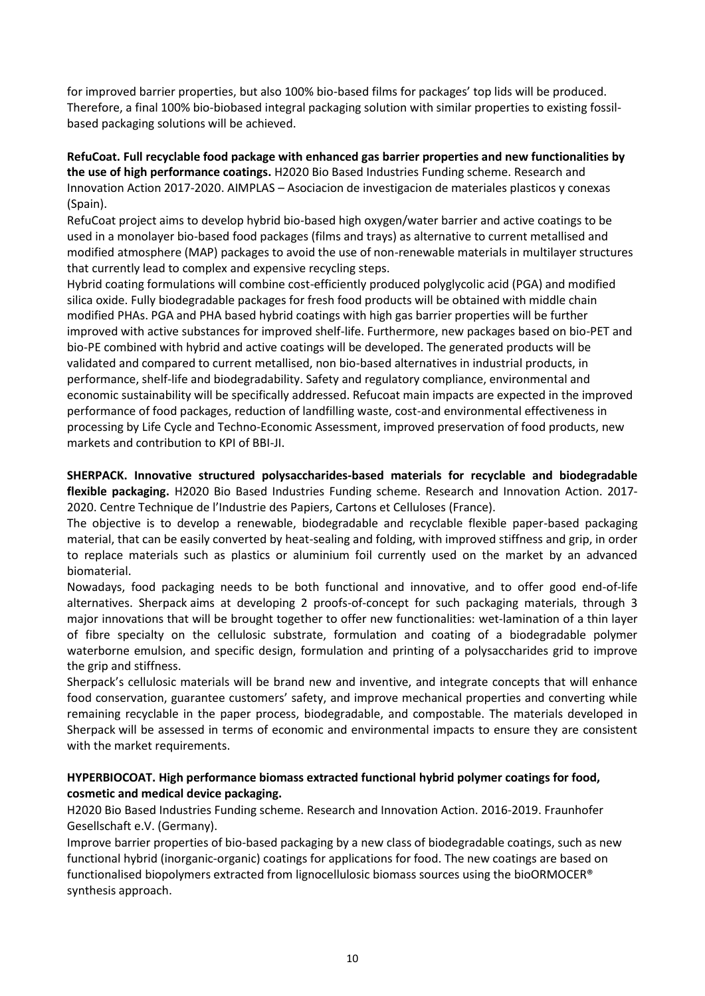for improved barrier properties, but also 100% bio-based films for packages' top lids will be produced. Therefore, a final 100% bio-biobased integral packaging solution with similar properties to existing fossilbased packaging solutions will be achieved.

**RefuCoat. Full recyclable food package with enhanced gas barrier properties and new functionalities by the use of high performance coatings.** H2020 Bio Based Industries Funding scheme. Research and Innovation Action 2017-2020. AIMPLAS – Asociacion de investigacion de materiales plasticos y conexas (Spain).

RefuCoat project aims to develop hybrid bio-based high oxygen/water barrier and active coatings to be used in a monolayer bio-based food packages (films and trays) as alternative to current metallised and modified atmosphere (MAP) packages to avoid the use of non-renewable materials in multilayer structures that currently lead to complex and expensive recycling steps.

Hybrid coating formulations will combine cost-efficiently produced polyglycolic acid (PGA) and modified silica oxide. Fully biodegradable packages for fresh food products will be obtained with middle chain modified PHAs. PGA and PHA based hybrid coatings with high gas barrier properties will be further improved with active substances for improved shelf-life. Furthermore, new packages based on bio-PET and bio-PE combined with hybrid and active coatings will be developed. The generated products will be validated and compared to current metallised, non bio-based alternatives in industrial products, in performance, shelf-life and biodegradability. Safety and regulatory compliance, environmental and economic sustainability will be specifically addressed. Refucoat main impacts are expected in the improved performance of food packages, reduction of landfilling waste, cost-and environmental effectiveness in processing by Life Cycle and Techno-Economic Assessment, improved preservation of food products, new markets and contribution to KPI of BBI-JI.

**SHERPACK. Innovative structured polysaccharides-based materials for recyclable and biodegradable flexible packaging.** H2020 Bio Based Industries Funding scheme. Research and Innovation Action. 2017- 2020. Centre Technique de l'Industrie des Papiers, Cartons et Celluloses (France).

The objective is to develop a renewable, biodegradable and recyclable flexible paper-based packaging material, that can be easily converted by heat-sealing and folding, with improved stiffness and grip, in order to replace materials such as plastics or aluminium foil currently used on the market by an advanced biomaterial.

Nowadays, food packaging needs to be both functional and innovative, and to offer good end-of-life alternatives. Sherpack aims at developing 2 proofs-of-concept for such packaging materials, through 3 major innovations that will be brought together to offer new functionalities: wet-lamination of a thin layer of fibre specialty on the cellulosic substrate, formulation and coating of a biodegradable polymer waterborne emulsion, and specific design, formulation and printing of a polysaccharides grid to improve the grip and stiffness.

Sherpack's cellulosic materials will be brand new and inventive, and integrate concepts that will enhance food conservation, guarantee customers' safety, and improve mechanical properties and converting while remaining recyclable in the paper process, biodegradable, and compostable. The materials developed in Sherpack will be assessed in terms of economic and environmental impacts to ensure they are consistent with the market requirements.

# **HYPERBIOCOAT. High performance biomass extracted functional hybrid polymer coatings for food, cosmetic and medical device packaging.**

H2020 Bio Based Industries Funding scheme. Research and Innovation Action. 2016-2019. Fraunhofer Gesellschaft e.V. (Germany).

Improve barrier properties of bio-based packaging by a new class of biodegradable coatings, such as new functional hybrid (inorganic-organic) coatings for applications for food. The new coatings are based on functionalised biopolymers extracted from lignocellulosic biomass sources using the bioORMOCER® synthesis approach.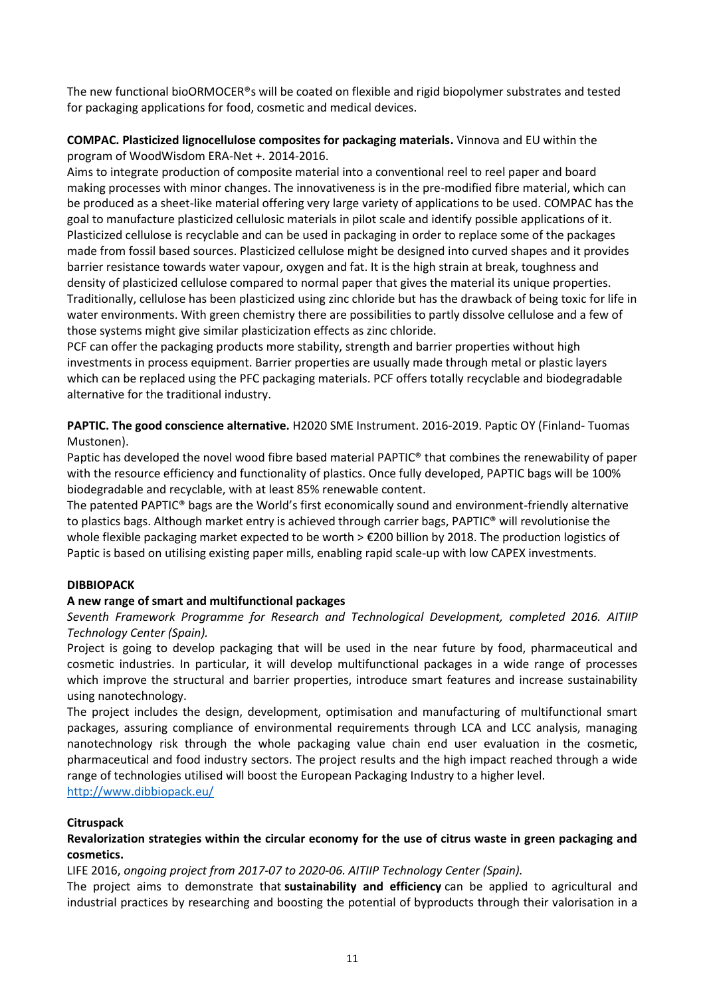The new functional bioORMOCER®s will be coated on flexible and rigid biopolymer substrates and tested for packaging applications for food, cosmetic and medical devices.

### **COMPAC. Plasticized lignocellulose composites for packaging materials.** Vinnova and EU within the program of WoodWisdom ERA-Net +. 2014-2016.

Aims to integrate production of composite material into a conventional reel to reel paper and board making processes with minor changes. The innovativeness is in the pre-modified fibre material, which can be produced as a sheet-like material offering very large variety of applications to be used. COMPAC has the goal to manufacture plasticized cellulosic materials in pilot scale and identify possible applications of it. Plasticized cellulose is recyclable and can be used in packaging in order to replace some of the packages made from fossil based sources. Plasticized cellulose might be designed into curved shapes and it provides barrier resistance towards water vapour, oxygen and fat. It is the high strain at break, toughness and density of plasticized cellulose compared to normal paper that gives the material its unique properties. Traditionally, cellulose has been plasticized using zinc chloride but has the drawback of being toxic for life in water environments. With green chemistry there are possibilities to partly dissolve cellulose and a few of those systems might give similar plasticization effects as zinc chloride.

PCF can offer the packaging products more stability, strength and barrier properties without high investments in process equipment. Barrier properties are usually made through metal or plastic layers which can be replaced using the PFC packaging materials. PCF offers totally recyclable and biodegradable alternative for the traditional industry.

**PAPTIC. The good conscience alternative.** H2020 SME Instrument. 2016-2019. Paptic OY (Finland- Tuomas Mustonen).

Paptic has developed the novel wood fibre based material PAPTIC® that combines the renewability of paper with the resource efficiency and functionality of plastics. Once fully developed, PAPTIC bags will be 100% biodegradable and recyclable, with at least 85% renewable content.

The patented PAPTIC® bags are the World's first economically sound and environment-friendly alternative to plastics bags. Although market entry is achieved through carrier bags, PAPTIC® will revolutionise the whole flexible packaging market expected to be worth > €200 billion by 2018. The production logistics of Paptic is based on utilising existing paper mills, enabling rapid scale-up with low CAPEX investments.

# **DIBBIOPACK**

#### **A new range of smart and multifunctional packages**

### *Seventh Framework Programme for Research and Technological Development, completed 2016. AITIIP Technology Center (Spain).*

Project is going to develop packaging that will be used in the near future by food, pharmaceutical and cosmetic industries. In particular, it will develop multifunctional packages in a wide range of processes which improve the structural and barrier properties, introduce smart features and increase sustainability using nanotechnology.

The project includes the design, development, optimisation and manufacturing of multifunctional smart packages, assuring compliance of environmental requirements through LCA and LCC analysis, managing nanotechnology risk through the whole packaging value chain end user evaluation in the cosmetic, pharmaceutical and food industry sectors. The project results and the high impact reached through a wide range of technologies utilised will boost the European Packaging Industry to a higher level. <http://www.dibbiopack.eu/>

#### **Citruspack**

### **Revalorization strategies within the circular economy for the use of citrus waste in green packaging and cosmetics.**

LIFE 2016, *ongoing project from 2017-07 to 2020-06. AITIIP Technology Center (Spain).*

The project aims to demonstrate that **sustainability and efficiency** can be applied to agricultural and industrial practices by researching and boosting the potential of byproducts through their valorisation in a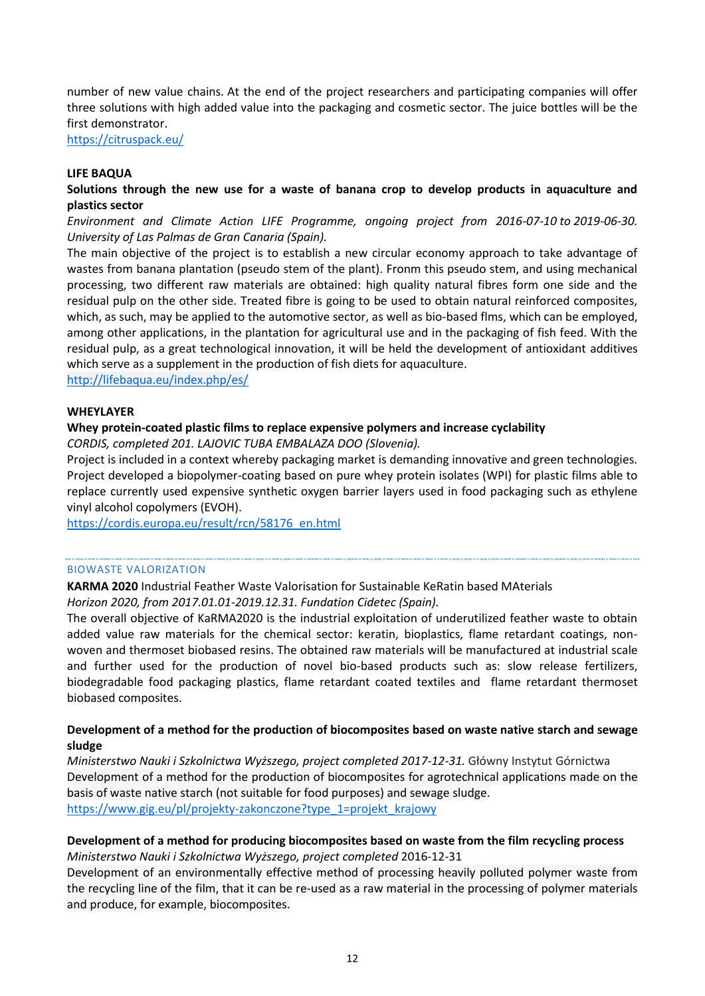number of new value chains. At the end of the project researchers and participating companies will offer three solutions with high added value into the packaging and cosmetic sector. The juice bottles will be the first demonstrator.

<https://citruspack.eu/>

#### **LIFE BAQUA**

#### **Solutions through the new use for a waste of banana crop to develop products in aquaculture and plastics sector**

*Environment and Climate Action LIFE Programme, ongoing project from 2016-07-10 to 2019-06-30. University of Las Palmas de Gran Canaria (Spain).*

The main objective of the project is to establish a new circular economy approach to take advantage of wastes from banana plantation (pseudo stem of the plant). Fronm this pseudo stem, and using mechanical processing, two different raw materials are obtained: high quality natural fibres form one side and the residual pulp on the other side. Treated fibre is going to be used to obtain natural reinforced composites, which, as such, may be applied to the automotive sector, as well as bio-based flms, which can be employed, among other applications, in the plantation for agricultural use and in the packaging of fish feed. With the residual pulp, as a great technological innovation, it will be held the development of antioxidant additives which serve as a supplement in the production of fish diets for aquaculture.

<http://lifebaqua.eu/index.php/es/>

#### **WHEYLAYER**

#### **Whey protein-coated plastic films to replace expensive polymers and increase cyclability**

*CORDIS, completed 201. LAJOVIC TUBA EMBALAZA DOO (Slovenia).*

Project is included in a context whereby packaging market is demanding innovative and green technologies. Project developed a biopolymer-coating based on pure whey protein isolates (WPI) for plastic films able to replace currently used expensive synthetic oxygen barrier layers used in food packaging such as ethylene vinyl alcohol copolymers (EVOH).

[https://cordis.europa.eu/result/rcn/58176\\_en.html](https://cordis.europa.eu/result/rcn/58176_en.html)

#### BIOWASTE VALORIZATION

**KARMA 2020** Industrial Feather Waste Valorisation for Sustainable KeRatin based MAterials

*Horizon 2020, from 2017.01.01-2019.12.31. Fundation Cidetec (Spain).*

The overall objective of KaRMA2020 is the industrial exploitation of underutilized feather waste to obtain added value raw materials for the chemical sector: keratin, bioplastics, flame retardant coatings, nonwoven and thermoset biobased resins. The obtained raw materials will be manufactured at industrial scale and further used for the production of novel bio-based products such as: slow release fertilizers, biodegradable food packaging plastics, flame retardant coated textiles and flame retardant thermoset biobased composites.

#### **Development of a method for the production of biocomposites based on waste native starch and sewage sludge**

*Ministerstwo Nauki i Szkolnictwa Wyższego, project completed 2017-12-31.* Główny Instytut Górnictwa Development of a method for the production of biocomposites for agrotechnical applications made on the basis of waste native starch (not suitable for food purposes) and sewage sludge. [https://www.gig.eu/pl/projekty-zakonczone?type\\_1=projekt\\_krajowy](https://www.gig.eu/pl/projekty-zakonczone?type_1=projekt_krajowy)

#### **Development of a method for producing biocomposites based on waste from the film recycling process** *Ministerstwo Nauki i Szkolnictwa Wyższego, project completed* 2016-12-31

Development of an environmentally effective method of processing heavily polluted polymer waste from the recycling line of the film, that it can be re-used as a raw material in the processing of polymer materials and produce, for example, biocomposites.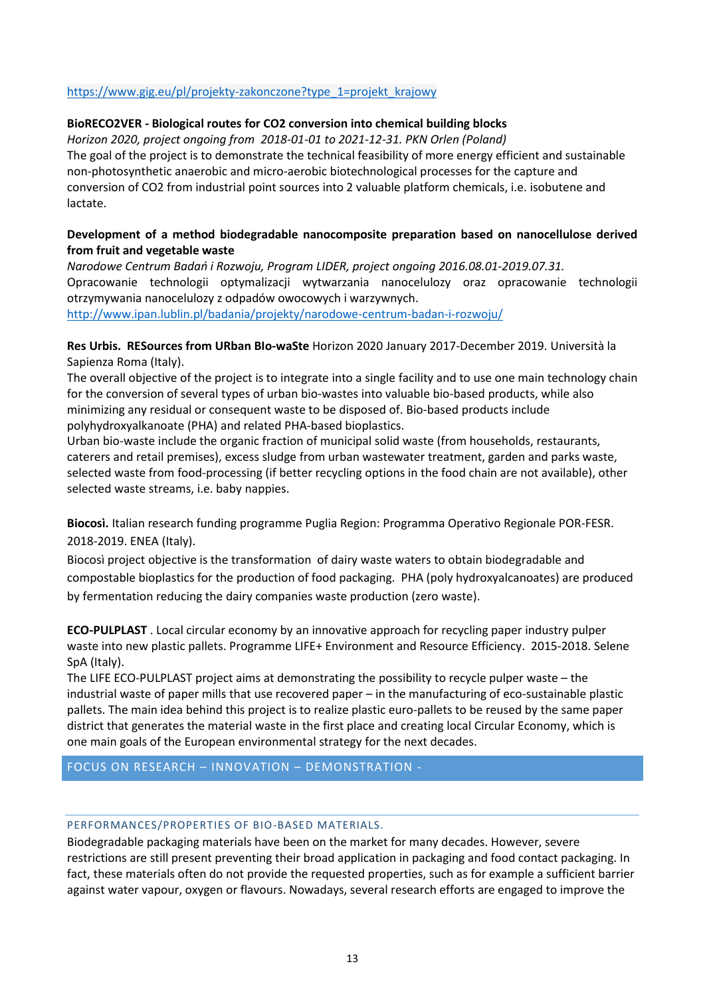### [https://www.gig.eu/pl/projekty-zakonczone?type\\_1=projekt\\_krajowy](https://www.gig.eu/pl/projekty-zakonczone?type_1=projekt_krajowy)

### **BioRECO2VER - Biological routes for CO2 conversion into chemical building blocks**

*Horizon 2020, project ongoing from 2018-01-01 to 2021-12-31. PKN Orlen (Poland)* The goal of the project is to demonstrate the technical feasibility of more energy efficient and sustainable non-photosynthetic anaerobic and micro-aerobic biotechnological processes for the capture and conversion of CO2 from industrial point sources into 2 valuable platform chemicals, i.e. isobutene and lactate.

### **Development of a method biodegradable nanocomposite preparation based on nanocellulose derived from fruit and vegetable waste**

*Narodowe Centrum Badań i Rozwoju, Program LIDER, project ongoing 2016.08.01-2019.07.31.* Opracowanie technologii optymalizacji wytwarzania nanocelulozy oraz opracowanie technologii otrzymywania nanocelulozy z odpadów owocowych i warzywnych. <http://www.ipan.lublin.pl/badania/projekty/narodowe-centrum-badan-i-rozwoju/>

**Res Urbis. RESources from URban BIo-waSte** Horizon 2020 January 2017-December 2019. Università la Sapienza Roma (Italy).

The overall objective of the project is to integrate into a single facility and to use one main technology chain for the conversion of several types of urban bio-wastes into valuable bio-based products, while also minimizing any residual or consequent waste to be disposed of. Bio-based products include polyhydroxyalkanoate (PHA) and related PHA-based bioplastics.

Urban bio-waste include the organic fraction of municipal solid waste (from households, restaurants, caterers and retail premises), excess sludge from urban wastewater treatment, garden and parks waste, selected waste from food-processing (if better recycling options in the food chain are not available), other selected waste streams, i.e. baby nappies.

**Biocosì.** Italian research funding programme Puglia Region: Programma Operativo Regionale POR-FESR. 2018-2019. ENEA (Italy).

Biocosì project objective is the transformation of dairy waste waters to obtain biodegradable and compostable bioplastics for the production of food packaging. PHA (poly hydroxyalcanoates) are produced by fermentation reducing the dairy companies waste production (zero waste).

**ECO-PULPLAST** . Local circular economy by an innovative approach for recycling paper industry pulper waste into new plastic pallets. Programme LIFE+ Environment and Resource Efficiency. 2015-2018. Selene SpA (Italy).

The LIFE ECO-PULPLAST project aims at demonstrating the possibility to recycle pulper waste – the industrial waste of paper mills that use recovered paper – in the manufacturing of eco-sustainable plastic pallets. The main idea behind this project is to realize plastic euro-pallets to be reused by the same paper district that generates the material waste in the first place and creating local Circular Economy, which is one main goals of the European environmental strategy for the next decades.

FOCUS ON RESEARCH – INNOVATION – DEMONSTRATION -

#### PERFORMANCES/PROPERTIES OF BIO-BASED MATERIALS.

Biodegradable packaging materials have been on the market for many decades. However, severe restrictions are still present preventing their broad application in packaging and food contact packaging. In fact, these materials often do not provide the requested properties, such as for example a sufficient barrier against water vapour, oxygen or flavours. Nowadays, several research efforts are engaged to improve the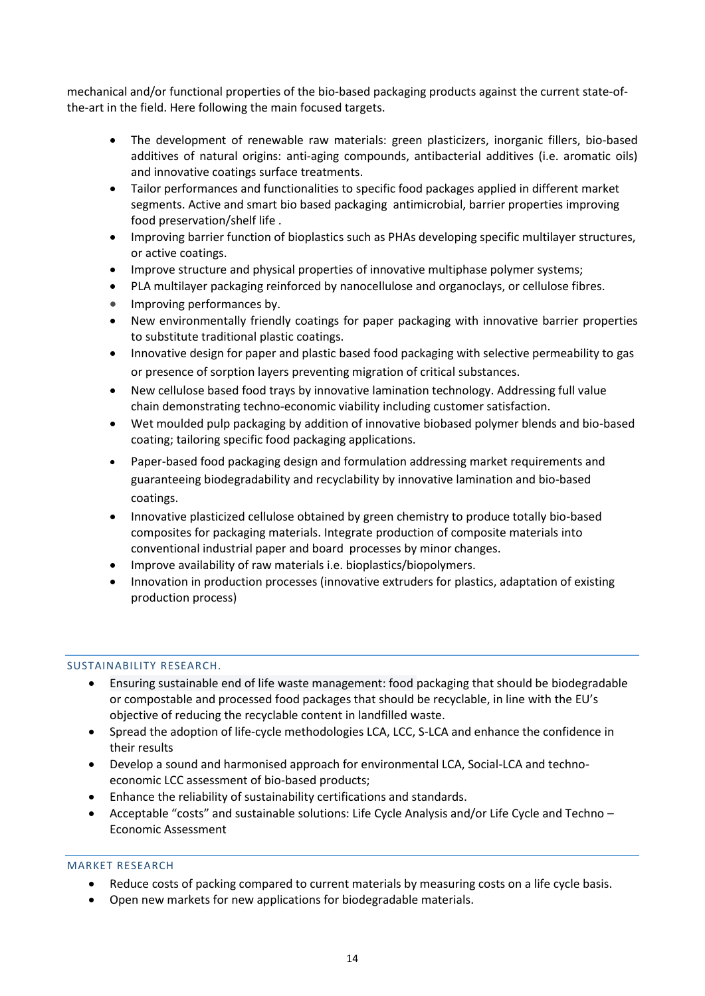mechanical and/or functional properties of the bio-based packaging products against the current state-ofthe-art in the field. Here following the main focused targets.

- The development of renewable raw materials: green plasticizers, inorganic fillers, bio-based additives of natural origins: anti-aging compounds, antibacterial additives (i.e. aromatic oils) and innovative coatings surface treatments.
- Tailor performances and functionalities to specific food packages applied in different market segments. Active and smart bio based packaging antimicrobial, barrier properties improving food preservation/shelf life .
- Improving barrier function of bioplastics such as PHAs developing specific multilayer structures, or active coatings.
- Improve structure and physical properties of innovative multiphase polymer systems;
- PLA multilayer packaging reinforced by nanocellulose and organoclays, or cellulose fibres.
- Improving performances by.
- New environmentally friendly coatings for paper packaging with innovative barrier properties to substitute traditional plastic coatings.
- Innovative design for paper and plastic based food packaging with selective permeability to gas or presence of sorption layers preventing migration of critical substances.
- New cellulose based food trays by innovative lamination technology. Addressing full value chain demonstrating techno-economic viability including customer satisfaction.
- Wet moulded pulp packaging by addition of innovative biobased polymer blends and bio-based coating; tailoring specific food packaging applications.
- Paper-based food packaging design and formulation addressing market requirements and guaranteeing biodegradability and recyclability by innovative lamination and bio-based coatings.
- Innovative plasticized cellulose obtained by green chemistry to produce totally bio-based composites for packaging materials. Integrate production of composite materials into conventional industrial paper and board processes by minor changes.
- Improve availability of raw materials i.e. bioplastics/biopolymers.
- Innovation in production processes (innovative extruders for plastics, adaptation of existing production process)

#### SUSTAINABILITY RESEARCH.

- Ensuring sustainable end of life waste management: food packaging that should be biodegradable or compostable and processed food packages that should be recyclable, in line with the EU's objective of reducing the recyclable content in landfilled waste.
- Spread the adoption of life-cycle methodologies LCA, LCC, S-LCA and enhance the confidence in their results
- Develop a sound and harmonised approach for environmental LCA, Social-LCA and technoeconomic LCC assessment of bio-based products;
- Enhance the reliability of sustainability certifications and standards.
- Acceptable "costs" and sustainable solutions: Life Cycle Analysis and/or Life Cycle and Techno Economic Assessment

#### MARKET RESEARCH

- Reduce costs of packing compared to current materials by measuring costs on a life cycle basis.
- Open new markets for new applications for biodegradable materials.